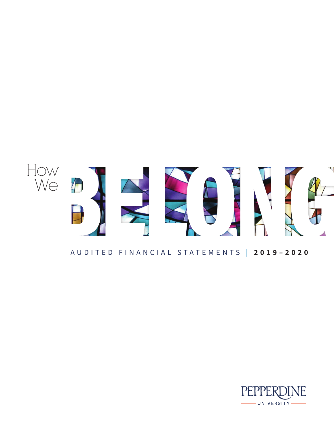

# AUDITED FINANCIAL STATEMENTS | **2019–2020**

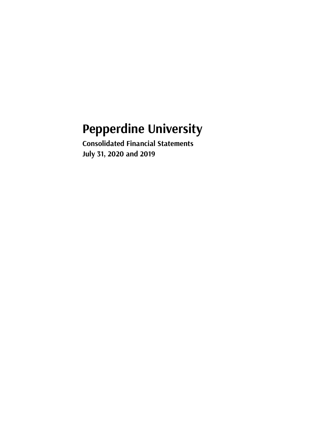# **Pepperdine University**

**Consolidated Financial Statements July 31, 2020 and 2019**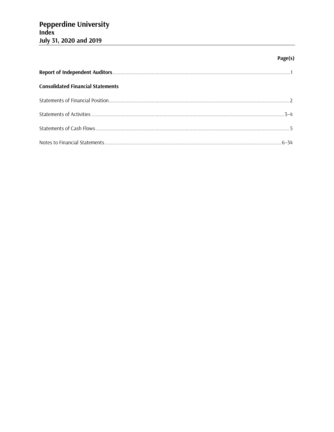# Page(s)

| <b>Consolidated Financial Statements</b> |  |
|------------------------------------------|--|
|                                          |  |
|                                          |  |
|                                          |  |
|                                          |  |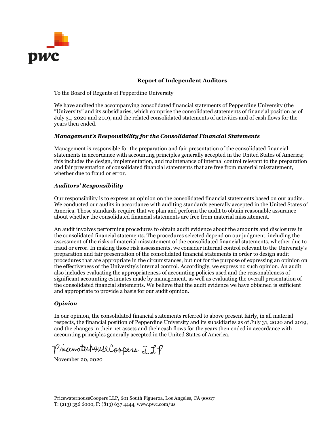

#### **Report of Independent Auditors**

To the Board of Regents of Pepperdine University

We have audited the accompanying consolidated financial statements of Pepperdine University (the "University" and its subsidiaries, which comprise the consolidated statements of financial position as of July 31, 2020 and 2019, and the related consolidated statements of activities and of cash flows for the years then ended.

#### *Management's Responsibility for the Consolidated Financial Statements*

Management is responsible for the preparation and fair presentation of the consolidated financial statements in accordance with accounting principles generally accepted in the United States of America; this includes the design, implementation, and maintenance of internal control relevant to the preparation and fair presentation of consolidated financial statements that are free from material misstatement, whether due to fraud or error.

#### *Auditors' Responsibility*

Our responsibility is to express an opinion on the consolidated financial statements based on our audits. We conducted our audits in accordance with auditing standards generally accepted in the United States of America. Those standards require that we plan and perform the audit to obtain reasonable assurance about whether the consolidated financial statements are free from material misstatement.

An audit involves performing procedures to obtain audit evidence about the amounts and disclosures in the consolidated financial statements. The procedures selected depend on our judgment, including the assessment of the risks of material misstatement of the consolidated financial statements, whether due to fraud or error. In making those risk assessments, we consider internal control relevant to the University's preparation and fair presentation of the consolidated financial statements in order to design audit procedures that are appropriate in the circumstances, but not for the purpose of expressing an opinion on the effectiveness of the University's internal control. Accordingly, we express no such opinion. An audit also includes evaluating the appropriateness of accounting policies used and the reasonableness of significant accounting estimates made by management, as well as evaluating the overall presentation of the consolidated financial statements. We believe that the audit evidence we have obtained is sufficient and appropriate to provide a basis for our audit opinion.

#### *Opinion*

In our opinion, the consolidated financial statements referred to above present fairly, in all material respects, the financial position of Pepperdine University and its subsidiaries as of July 31, 2020 and 2019, and the changes in their net assets and their cash flows for the years then ended in accordance with accounting principles generally accepted in the United States of America.

Pricewaterhouse Coopers LLP

November 20, 2020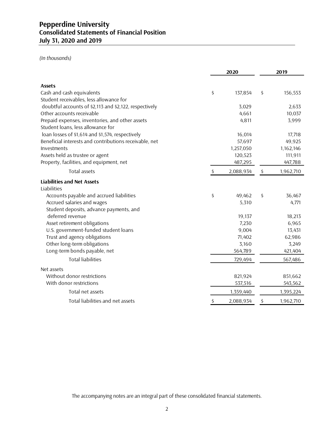# **Pepperdine University Consolidated Statements of Financial Position July 31, 2020 and 2019**

*(In thousands)*

|                                                        | 2020 |           | 2019 |           |
|--------------------------------------------------------|------|-----------|------|-----------|
|                                                        |      |           |      |           |
| <b>Assets</b>                                          |      |           |      |           |
| Cash and cash equivalents                              | \$   | 137,854   | \$   | 156,553   |
| Student receivables, less allowance for                |      |           |      |           |
| doubtful accounts of \$2,113 and \$2,122, respectively |      | 3,029     |      | 2,633     |
| Other accounts receivable                              |      | 4,661     |      | 10,037    |
| Prepaid expenses, inventories, and other assets        |      | 4,811     |      | 3,999     |
| Student loans, less allowance for                      |      |           |      |           |
| loan losses of \$1,614 and \$1,574, respectively       |      | 16,014    |      | 17,718    |
| Beneficial interests and contributions receivable, net |      | 57,697    |      | 49,925    |
| Investments                                            |      | 1,257,050 |      | 1,162,146 |
| Assets held as trustee or agent                        |      | 120,523   |      | 111,911   |
| Property, facilities, and equipment, net               |      | 487,295   |      | 447,788   |
| Total assets                                           | \$   | 2,088,934 | \$   | 1,962,710 |
| <b>Liabilities and Net Assets</b>                      |      |           |      |           |
| Liabilities                                            |      |           |      |           |
| Accounts payable and accrued liabilities               | \$   | 49,462    | \$   | 36,467    |
| Accrued salaries and wages                             |      | 5,310     |      | 4,771     |
| Student deposits, advance payments, and                |      |           |      |           |
| deferred revenue                                       |      | 19,137    |      | 18,213    |
| Asset retirement obligations                           |      | 7,230     |      | 6,965     |
| U.S. government-funded student loans                   |      | 9,004     |      | 13,431    |
| Trust and agency obligations                           |      | 71,402    |      | 62,986    |
| Other long-term obligations                            |      | 3,160     |      | 3,249     |
| Long-term bonds payable, net                           |      | 564,789   |      | 421,404   |
| <b>Total liabilities</b>                               |      | 729,494   |      | 567,486   |
| Net assets                                             |      |           |      |           |
| Without donor restrictions                             |      | 821,924   |      | 851,662   |
| With donor restrictions                                |      | 537,516   |      | 543,562   |
| Total net assets                                       |      | 1,359,440 |      | 1,395,224 |
| Total liabilities and net assets                       | \$   | 2,088,934 | \$   | 1,962,710 |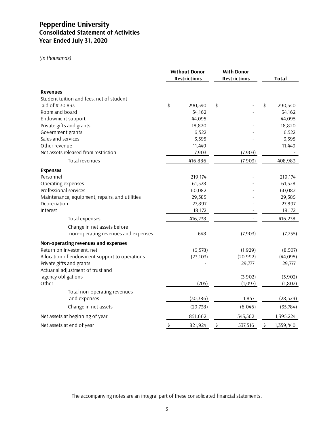# *(In thousands)*

|                                                | <b>Without Donor</b><br><b>Restrictions</b> | <b>With Donor</b><br><b>Restrictions</b> | <b>Total</b>    |
|------------------------------------------------|---------------------------------------------|------------------------------------------|-----------------|
| <b>Revenues</b>                                |                                             |                                          |                 |
| Student tuition and fees, net of student       |                                             |                                          |                 |
| aid of \$130,833                               | \$<br>290,540                               | \$                                       | \$<br>290,540   |
| Room and board                                 | 34,162                                      |                                          | 34,162          |
| Endowment support                              | 44,095                                      |                                          | 44,095          |
| Private gifts and grants                       | 18,820                                      |                                          | 18,820          |
| Government grants                              | 6,522                                       |                                          | 6,522           |
| Sales and services                             | 3,395                                       |                                          | 3,395           |
| Other revenue                                  | 11,449                                      |                                          | 11,449          |
| Net assets released from restriction           | 7,903                                       | (7,903)                                  |                 |
| Total revenues                                 | 416,886                                     | (7,903)                                  | 408,983         |
| <b>Expenses</b>                                |                                             |                                          |                 |
| Personnel                                      | 219,174                                     |                                          | 219,174         |
| Operating expenses                             | 61,528                                      |                                          | 61,528          |
| Professional services                          | 60,082                                      |                                          | 60,082          |
| Maintenance, equipment, repairs, and utilities | 29,385                                      |                                          | 29,385          |
| Depreciation                                   | 27,897                                      |                                          | 27,897          |
| Interest                                       | 18,172                                      |                                          | 18,172          |
| Total expenses                                 | 416,238                                     |                                          | 416,238         |
| Change in net assets before                    |                                             |                                          |                 |
| non-operating revenues and expenses            | 648                                         | (7,903)                                  | (7,255)         |
| Non-operating revenues and expenses            |                                             |                                          |                 |
| Return on investment, net                      | (6, 578)                                    | (1,929)                                  | (8,507)         |
| Allocation of endowment support to operations  | (23, 103)                                   | (20, 992)                                | (44, 095)       |
| Private gifts and grants                       |                                             | 29,777                                   | 29,777          |
| Actuarial adjustment of trust and              |                                             |                                          |                 |
| agency obligations                             |                                             | (3,902)                                  | (3,902)         |
| Other                                          | (705)                                       | (1,097)                                  | (1, 802)        |
| Total non-operating revenues                   |                                             |                                          |                 |
| and expenses                                   | (30, 386)                                   | 1,857                                    | (28, 529)       |
| Change in net assets                           | (29, 738)                                   | (6,046)                                  | (35, 784)       |
| Net assets at beginning of year                | 851,662                                     | 543,562                                  | 1,395,224       |
| Net assets at end of year                      | \$<br>821,924                               | \$<br>537,516                            | \$<br>1,359,440 |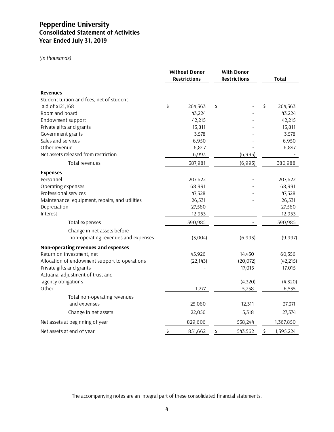# *(In thousands)*

|                                                | <b>Without Donor</b><br><b>Restrictions</b> |    | <b>With Donor</b><br><b>Restrictions</b> |    | <b>Total</b> |
|------------------------------------------------|---------------------------------------------|----|------------------------------------------|----|--------------|
| <b>Revenues</b>                                |                                             |    |                                          |    |              |
| Student tuition and fees, net of student       |                                             |    |                                          |    |              |
| aid of \$121,168                               | \$<br>264,363                               | \$ |                                          | \$ | 264,363      |
| Room and board                                 | 43,224                                      |    |                                          |    | 43,224       |
| Endowment support                              | 42,215                                      |    |                                          |    | 42,215       |
| Private gifts and grants                       | 13,811                                      |    |                                          |    | 13,811       |
| Government grants                              | 3,578                                       |    |                                          |    | 3,578        |
| Sales and services                             | 6,950                                       |    |                                          |    | 6,950        |
| Other revenue                                  | 6,847                                       |    |                                          |    | 6,847        |
| Net assets released from restriction           | 6,993                                       |    | (6,993)                                  |    |              |
| Total revenues                                 | 387,981                                     |    | (6,993)                                  |    | 380,988      |
| <b>Expenses</b>                                |                                             |    |                                          |    |              |
| Personnel                                      | 207,622                                     |    |                                          |    | 207,622      |
| Operating expenses                             | 68,991                                      |    |                                          |    | 68,991       |
| Professional services                          | 47,328                                      |    |                                          |    | 47,328       |
| Maintenance, equipment, repairs, and utilities | 26,531                                      |    |                                          |    | 26,531       |
| Depreciation                                   | 27,560                                      |    |                                          |    | 27,560       |
| Interest                                       | 12,953                                      |    |                                          |    | 12,953       |
| Total expenses                                 | 390,985                                     |    |                                          |    | 390,985      |
| Change in net assets before                    |                                             |    |                                          |    |              |
| non-operating revenues and expenses            | (3,004)                                     |    | (6,993)                                  |    | (9,997)      |
| Non-operating revenues and expenses            |                                             |    |                                          |    |              |
| Return on investment, net                      | 45,926                                      |    | 14,430                                   |    | 60,356       |
| Allocation of endowment support to operations  | (22, 143)                                   |    | (20, 072)                                |    | (42, 215)    |
| Private gifts and grants                       |                                             |    | 17,015                                   |    | 17,015       |
| Actuarial adjustment of trust and              |                                             |    |                                          |    |              |
| agency obligations                             |                                             |    | (4,320)                                  |    | (4, 320)     |
| Other                                          | 1,277                                       |    | 5,258                                    |    | 6,535        |
| Total non-operating revenues                   |                                             |    |                                          |    |              |
| and expenses                                   | 25,060                                      |    | 12,311                                   |    | 37,371       |
| Change in net assets                           | 22,056                                      |    | 5,318                                    |    | 27,374       |
| Net assets at beginning of year                | 829,606                                     |    | 538,244                                  |    | 1,367,850    |
| Net assets at end of year                      | \$<br>851,662                               | \$ | 543,562                                  | \$ | 1,395,224    |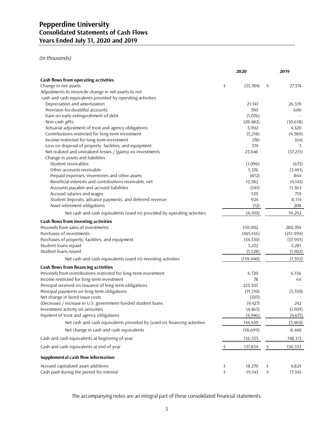*(In thousands)*

|                                                                          | 2020            |         | 2019           |
|--------------------------------------------------------------------------|-----------------|---------|----------------|
| Cash flows from operating activities                                     |                 |         |                |
| Change in net assets                                                     | \$<br>(35, 784) | \$      | 27,374         |
| Adjustments to reconcile change in net assets to net                     |                 |         |                |
| cash and cash equivalents provided by operating activities               |                 |         |                |
| Depreciation and amortization                                            | 21,147          |         | 26,319         |
| Provision for doubtful accounts                                          | 700             |         | 600            |
| Gain on early extinguishment of debt                                     | (1,076)         |         |                |
| Non-cash gifts                                                           | (28, 482)       |         | (10,618)       |
| Actuarial adjustment of trust and agency obligations                     | 3,902           |         | 4,320          |
| Contributions restricted for long-term investment                        | (5,218)         |         | (4, 389)       |
| Income restricted for long-term investment                               | (78)            |         | (64)           |
| Loss on disposal of property, facilities, and equipment                  | 374             |         | 3              |
| Net realized and unrealized losses / (gains) on investments              | 23,646          |         | (37, 215)      |
| Change in assets and liabilities<br>Student receivables                  |                 |         |                |
| Other accounts receivable                                                | (1,096)         |         | (672)          |
| Prepaid expenses, inventories and other assets                           | 5,376<br>(812)  |         | (3,491)<br>864 |
| Beneficial interests and contributions receivable, net                   | 12,382          |         | (4, 143)       |
| Accounts payable and accrued liabilities                                 | (541)           |         | 11,363         |
| Accrued salaries and wages                                               | 539             |         | 719            |
| Student deposits, advance payments, and deferred revenue                 | 924             |         | 8,114          |
| Asset retirement obligations                                             | (12)            |         | 208            |
| Net cash and cash equivalents (used in) provided by operating activities | (4, 109)        |         | 19,292         |
| Cash flows from investing activities                                     |                 |         |                |
| Proceeds from sales of investments                                       | 339,002         |         | 280,704        |
| Purchases of investments                                                 | (445, 416)      |         | (251, 994)     |
| Purchases of property, facilities, and equipment                         | (54, 330)       |         | (37, 901)      |
| Student loans repaid                                                     | 3,232           |         | 3,281          |
| Student loans issued                                                     | (1,528)         |         | (1,482)        |
| Net cash and cash equivalents (used in) investing activities             | (159, 040)      |         | (7, 392)       |
| Cash flows from financing activities                                     |                 |         |                |
| Proceeds from contributions restricted for long-term investment          | 6,720           |         | 6,156          |
| Income restricted for long-term investment                               | 78              |         | 64             |
| Principal received on issuance of long-term obligations                  | 223,505         |         |                |
| Principal payments on long-term obligations                              | (71, 510)       |         | (3,350)        |
| Net change in bond issue costs                                           | (507)           |         |                |
| (Decrease) / increase in U.S. government-funded student loans            | (4, 427)        |         | 242            |
| Investment activity on annuities                                         | (4,463)         |         | (1,901)        |
| Payment of trust and agency obligations                                  | (4, 946)        |         | (4,671)        |
| Net cash and cash equivalents provided by (used in) financing activities | 144,450         |         | (3,460)        |
| Net change in cash and cash equivalents                                  | (18, 699)       |         | 8,440          |
| Cash and cash equivalents at beginning of year                           | 156,553         |         | 148,113        |
| Cash and cash equivalents at end of year                                 | \$<br>137,854   | $\zeta$ | 156,553        |
| Supplemental cash flow information                                       |                 |         |                |
| Accrued capitalized asset additions                                      | \$<br>18,270    | \$      | 4,824          |
| Cash paid during the period for interest                                 | \$<br>19,143    | \$      | 17,345         |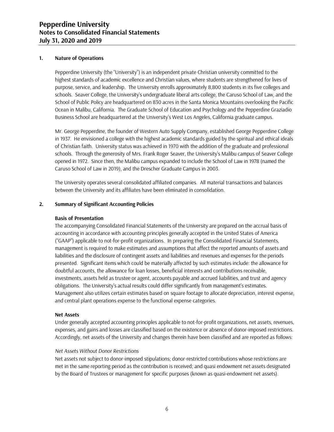#### **1. Nature of Operations**

Pepperdine University (the "University") is an independent private Christian university committed to the highest standards of academic excellence and Christian values, where students are strengthened for lives of purpose, service, and leadership. The University enrolls approximately 8,800 students in its five colleges and schools. Seaver College, the University's undergraduate liberal arts college, the Caruso School of Law, and the School of Public Policy are headquartered on 830 acres in the Santa Monica Mountains overlooking the Pacific Ocean in Malibu, California. The Graduate School of Education and Psychology and the Pepperdine Graziadio Business School are headquartered at the University's West Los Angeles, California graduate campus.

Mr. George Pepperdine, the founder of Western Auto Supply Company, established George Pepperdine College in 1937. He envisioned a college with the highest academic standards guided by the spiritual and ethical ideals of Christian faith. University status was achieved in 1970 with the addition of the graduate and professional schools. Through the generosity of Mrs. Frank Roger Seaver, the University's Malibu campus of Seaver College opened in 1972. Since then, the Malibu campus expanded to include the School of Law in 1978 (named the Caruso School of Law in 2019), and the Drescher Graduate Campus in 2003.

The University operates several consolidated affiliated companies. All material transactions and balances between the University and its affiliates have been eliminated in consolidation.

#### **2. Summary of Significant Accounting Policies**

#### **Basis of Presentation**

The accompanying Consolidated Financial Statements of the University are prepared on the accrual basis of accounting in accordance with accounting principles generally accepted in the United States of America ("GAAP") applicable to not-for-profit organizations. In preparing the Consolidated Financial Statements, management is required to make estimates and assumptions that affect the reported amounts of assets and liabilities and the disclosure of contingent assets and liabilities and revenues and expenses for the periods presented. Significant items which could be materially affected by such estimates include: the allowance for doubtful accounts, the allowance for loan losses, beneficial interests and contributions receivable, investments, assets held as trustee or agent, accounts payable and accrued liabilities, and trust and agency obligations. The University's actual results could differ significantly from management's estimates. Management also utilizes certain estimates based on square footage to allocate depreciation, interest expense, and central plant operations expense to the functional expense categories.

#### **Net Assets**

Under generally accepted accounting principles applicable to not-for-profit organizations, net assets, revenues, expenses, and gains and losses are classified based on the existence or absence of donor-imposed restrictions. Accordingly, net assets of the University and changes therein have been classified and are reported as follows:

#### *Net Assets Without Donor Restrictions*

Net assets not subject to donor-imposed stipulations; donor-restricted contributions whose restrictions are met in the same reporting period as the contribution is received; and quasi endowment net assets designated by the Board of Trustees or management for specific purposes (known as quasi-endowment net assets).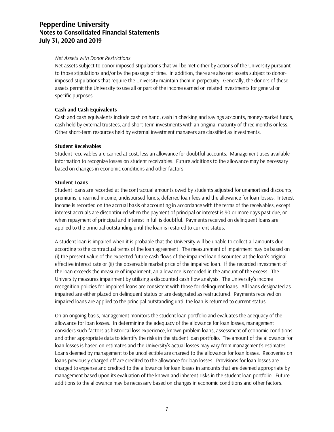#### *Net Assets with Donor Restrictions*

Net assets subject to donor-imposed stipulations that will be met either by actions of the University pursuant to those stipulations and/or by the passage of time. In addition, there are also net assets subject to donorimposed stipulations that require the University maintain them in perpetuity. Generally, the donors of these assets permit the University to use all or part of the income earned on related investments for general or specific purposes.

#### **Cash and Cash Equivalents**

Cash and cash equivalents include cash on hand, cash in checking and savings accounts, money-market funds, cash held by external trustees, and short-term investments with an original maturity of three months or less. Other short-term resources held by external investment managers are classified as investments.

#### **Student Receivables**

Student receivables are carried at cost, less an allowance for doubtful accounts. Management uses available information to recognize losses on student receivables. Future additions to the allowance may be necessary based on changes in economic conditions and other factors.

#### **Student Loans**

Student loans are recorded at the contractual amounts owed by students adjusted for unamortized discounts, premiums, unearned income, undisbursed funds, deferred loan fees and the allowance for loan losses. Interest income is recorded on the accrual basis of accounting in accordance with the terms of the receivables, except interest accruals are discontinued when the payment of principal or interest is 90 or more days past due, or when repayment of principal and interest in full is doubtful. Payments received on delinquent loans are applied to the principal outstanding until the loan is restored to current status.

A student loan is impaired when it is probable that the University will be unable to collect all amounts due according to the contractual terms of the loan agreement. The measurement of impairment may be based on (i) the present value of the expected future cash flows of the impaired loan discounted at the loan's original effective interest rate or (ii) the observable market price of the impaired loan. If the recorded investment of the loan exceeds the measure of impairment, an allowance is recorded in the amount of the excess. The University measures impairment by utilizing a discounted cash flow analysis. The University's income recognition policies for impaired loans are consistent with those for delinquent loans. All loans designated as impaired are either placed on delinquent status or are designated as restructured. Payments received on impaired loans are applied to the principal outstanding until the loan is returned to current status.

On an ongoing basis, management monitors the student loan portfolio and evaluates the adequacy of the allowance for loan losses. In determining the adequacy of the allowance for loan losses, management considers such factors as historical loss experience, known problem loans, assessment of economic conditions, and other appropriate data to identify the risks in the student loan portfolio. The amount of the allowance for loan losses is based on estimates and the University's actual losses may vary from management's estimates. Loans deemed by management to be uncollectible are charged to the allowance for loan losses. Recoveries on loans previously charged off are credited to the allowance for loan losses. Provisions for loan losses are charged to expense and credited to the allowance for loan losses in amounts that are deemed appropriate by management based upon its evaluation of the known and inherent risks in the student loan portfolio. Future additions to the allowance may be necessary based on changes in economic conditions and other factors.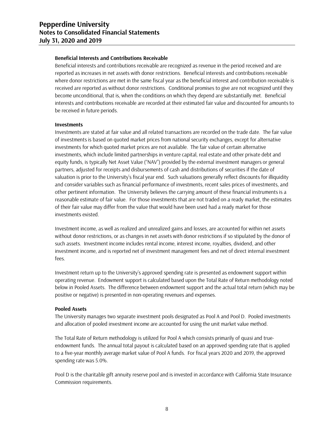#### **Beneficial Interests and Contributions Receivable**

Beneficial interests and contributions receivable are recognized as revenue in the period received and are reported as increases in net assets with donor restrictions. Beneficial interests and contributions receivable where donor restrictions are met in the same fiscal year as the beneficial interest and contribution receivable is received are reported as without donor restrictions. Conditional promises to give are not recognized until they become unconditional, that is, when the conditions on which they depend are substantially met. Beneficial interests and contributions receivable are recorded at their estimated fair value and discounted for amounts to be received in future periods.

#### **Investments**

Investments are stated at fair value and all related transactions are recorded on the trade date. The fair value of investments is based on quoted market prices from national security exchanges, except for alternative investments for which quoted market prices are not available. The fair value of certain alternative investments, which include limited partnerships in venture capital, real estate and other private debt and equity funds, is typically Net Asset Value ("NAV") provided by the external investment managers or general partners, adjusted for receipts and disbursements of cash and distributions of securities if the date of valuation is prior to the University's fiscal year end. Such valuations generally reflect discounts for illiquidity and consider variables such as financial performance of investments, recent sales prices of investments, and other pertinent information. The University believes the carrying amount of these financial instruments is a reasonable estimate of fair value. For those investments that are not traded on a ready market, the estimates of their fair value may differ from the value that would have been used had a ready market for those investments existed.

Investment income, as well as realized and unrealized gains and losses, are accounted for within net assets without donor restrictions, or as changes in net assets with donor restrictions if so stipulated by the donor of such assets. Investment income includes rental income, interest income, royalties, dividend, and other investment income, and is reported net of investment management fees and net of direct internal investment fees.

Investment return up to the University's approved spending rate is presented as endowment support within operating revenue. Endowment support is calculated based upon the Total Rate of Return methodology noted below in Pooled Assets. The difference between endowment support and the actual total return (which may be positive or negative) is presented in non-operating revenues and expenses.

#### **Pooled Assets**

The University manages two separate investment pools designated as Pool A and Pool D. Pooled investments and allocation of pooled investment income are accounted for using the unit market value method.

The Total Rate of Return methodology is utilized for Pool A which consists primarily of quasi and trueendowment funds. The annual total payout is calculated based on an approved spending rate that is applied to a five-year monthly average market value of Pool A funds. For fiscal years 2020 and 2019, the approved spending rate was 5.0%.

Pool D is the charitable gift annuity reserve pool and is invested in accordance with California State Insurance Commission requirements.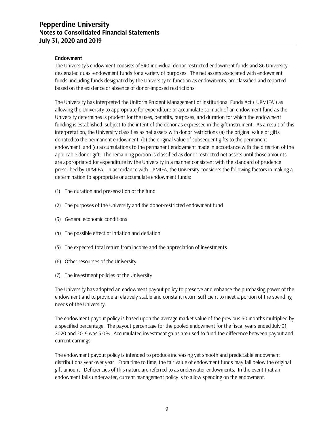#### **Endowment**

The University's endowment consists of 540 individual donor-restricted endowment funds and 86 Universitydesignated quasi-endowment funds for a variety of purposes. The net assets associated with endowment funds, including funds designated by the University to function as endowments, are classified and reported based on the existence or absence of donor-imposed restrictions.

The University has interpreted the Uniform Prudent Management of Institutional Funds Act ("UPMIFA") as allowing the University to appropriate for expenditure or accumulate so much of an endowment fund as the University determines is prudent for the uses, benefits, purposes, and duration for which the endowment funding is established, subject to the intent of the donor as expressed in the gift instrument. As a result of this interpretation, the University classifies as net assets with donor restrictions (a) the original value of gifts donated to the permanent endowment, (b) the original value of subsequent gifts to the permanent endowment, and (c) accumulations to the permanent endowment made in accordance with the direction of the applicable donor gift. The remaining portion is classified as donor restricted net assets until those amounts are appropriated for expenditure by the University in a manner consistent with the standard of prudence prescribed by UPMIFA. In accordance with UPMIFA, the University considers the following factors in making a determination to appropriate or accumulate endowment funds:

- (1) The duration and preservation of the fund
- (2) The purposes of the University and the donor-restricted endowment fund
- (3) General economic conditions
- (4) The possible effect of inflation and deflation
- (5) The expected total return from income and the appreciation of investments
- (6) Other resources of the University
- (7) The investment policies of the University

The University has adopted an endowment payout policy to preserve and enhance the purchasing power of the endowment and to provide a relatively stable and constant return sufficient to meet a portion of the spending needs of the University.

The endowment payout policy is based upon the average market value of the previous 60 months multiplied by a specified percentage. The payout percentage for the pooled endowment for the fiscal years ended July 31, 2020 and 2019 was 5.0%. Accumulated investment gains are used to fund the difference between payout and current earnings.

The endowment payout policy is intended to produce increasing yet smooth and predictable endowment distributions year over year. From time to time, the fair value of endowment funds may fall below the original gift amount. Deficiencies of this nature are referred to as underwater endowments. In the event that an endowment falls underwater, current management policy is to allow spending on the endowment.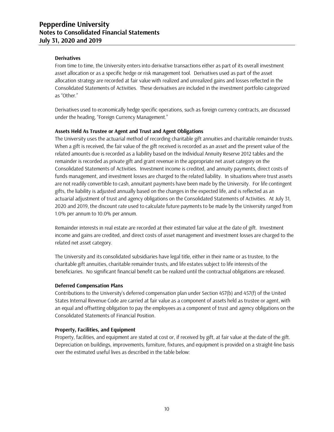### **Derivatives**

From time to time, the University enters into derivative transactions either as part of its overall investment asset allocation or as a specific hedge or risk management tool. Derivatives used as part of the asset allocation strategy are recorded at fair value with realized and unrealized gains and losses reflected in the Consolidated Statements of Activities. These derivatives are included in the investment portfolio categorized as "Other."

Derivatives used to economically hedge specific operations, such as foreign currency contracts, are discussed under the heading, "Foreign Currency Management."

#### **Assets Held As Trustee or Agent and Trust and Agent Obligations**

The University uses the actuarial method of recording charitable gift annuities and charitable remainder trusts. When a gift is received, the fair value of the gift received is recorded as an asset and the present value of the related amounts due is recorded as a liability based on the Individual Annuity Reserve 2012 tables and the remainder is recorded as private gift and grant revenue in the appropriate net asset category on the Consolidated Statements of Activities. Investment income is credited, and annuity payments, direct costs of funds management, and investment losses are charged to the related liability. In situations where trust assets are not readily convertible to cash, annuitant payments have been made by the University. For life contingent gifts, the liability is adjusted annually based on the changes in the expected life, and is reflected as an actuarial adjustment of trust and agency obligations on the Consolidated Statements of Activities. At July 31, 2020 and 2019, the discount rate used to calculate future payments to be made by the University ranged from 1.0% per annum to 10.0% per annum.

Remainder interests in real estate are recorded at their estimated fair value at the date of gift. Investment income and gains are credited, and direct costs of asset management and investment losses are charged to the related net asset category.

The University and its consolidated subsidiaries have legal title, either in their name or as trustee, to the charitable gift annuities, charitable remainder trusts, and life estates subject to life interests of the beneficiaries. No significant financial benefit can be realized until the contractual obligations are released.

#### **Deferred Compensation Plans**

Contributions to the University's deferred compensation plan under Section 457(b) and 457(f) of the United States Internal Revenue Code are carried at fair value as a component of assets held as trustee or agent, with an equal and offsetting obligation to pay the employees as a component of trust and agency obligations on the Consolidated Statements of Financial Position.

#### **Property, Facilities, and Equipment**

Property, facilities, and equipment are stated at cost or, if received by gift, at fair value at the date of the gift. Depreciation on buildings, improvements, furniture, fixtures, and equipment is provided on a straight-line basis over the estimated useful lives as described in the table below: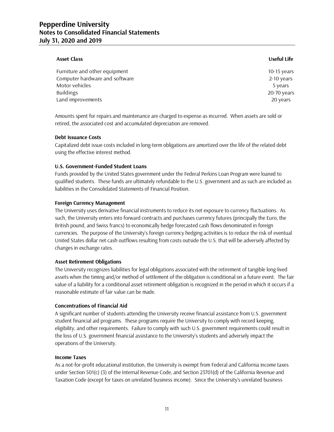#### **Asset Class Useful Life**

| Furniture and other equipment  | 10-15 years |
|--------------------------------|-------------|
| Computer hardware and software | 2-10 years  |
| Motor vehicles                 | 5 years     |
| Buildings                      | 20-70 years |
| Land improvements              | 20 years    |

Amounts spent for repairs and maintenance are charged to expense as incurred. When assets are sold or retired, the associated cost and accumulated depreciation are removed.

#### **Debt Issuance Costs**

Capitalized debt issue costs included in long-term obligations are amortized over the life of the related debt using the effective interest method.

#### **U.S. Government-Funded Student Loans**

Funds provided by the United States government under the Federal Perkins Loan Program were loaned to qualified students. These funds are ultimately refundable to the U.S. government and as such are included as liabilities in the Consolidated Statements of Financial Position.

#### **Foreign Currency Management**

The University uses derivative financial instruments to reduce its net exposure to currency fluctuations. As such, the University enters into forward contracts and purchases currency futures (principally the Euro, the British pound, and Swiss francs) to economically hedge forecasted cash flows denominated in foreign currencies. The purpose of the University's foreign currency hedging activities is to reduce the risk of eventual United States dollar net cash outflows resulting from costs outside the U.S. that will be adversely affected by changes in exchange rates.

#### **Asset Retirement Obligations**

The University recognizes liabilities for legal obligations associated with the retirement of tangible long-lived assets when the timing and/or method of settlement of the obligation is conditional on a future event. The fair value of a liability for a conditional asset retirement obligation is recognized in the period in which it occurs if a reasonable estimate of fair value can be made.

#### **Concentrations of Financial Aid**

A significant number of students attending the University receive financial assistance from U.S. government student financial aid programs. These programs require the University to comply with record keeping, eligibility, and other requirements. Failure to comply with such U.S. government requirements could result in the loss of U.S. government financial assistance to the University's students and adversely impact the operations of the University.

#### **Income Taxes**

As a not-for-profit educational institution, the University is exempt from Federal and California income taxes under Section 501(c) (3) of the Internal Revenue Code, and Section 23701(d) of the California Revenue and Taxation Code (except for taxes on unrelated business income). Since the University's unrelated business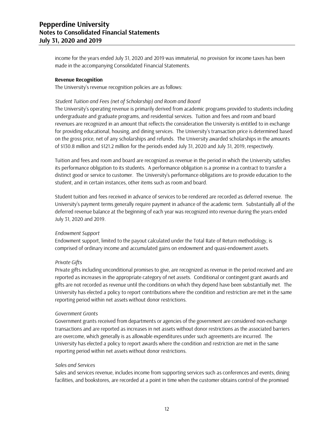income for the years ended July 31, 2020 and 2019 was immaterial, no provision for income taxes has been made in the accompanying Consolidated Financial Statements.

#### **Revenue Recognition**

The University's revenue recognition policies are as follows:

#### *Student Tuition and Fees (net of Scholarship) and Room and Board*

The University's operating revenue is primarily derived from academic programs provided to students including undergraduate and graduate programs, and residential services. Tuition and fees and room and board revenues are recognized in an amount that reflects the consideration the University is entitled to in exchange for providing educational, housing, and dining services. The University's transaction price is determined based on the gross price, net of any scholarships and refunds. The University awarded scholarships in the amounts of \$130.8 million and \$121.2 million for the periods ended July 31, 2020 and July 31, 2019, respectively.

Tuition and fees and room and board are recognized as revenue in the period in which the University satisfies its performance obligation to its students. A performance obligation is a promise in a contract to transfer a distinct good or service to customer. The University's performance obligations are to provide education to the student, and in certain instances, other items such as room and board.

Student tuition and fees received in advance of services to be rendered are recorded as deferred revenue. The University's payment terms generally require payment in advance of the academic term. Substantially all of the deferred revenue balance at the beginning of each year was recognized into revenue during the years ended July 31, 2020 and 2019.

#### *Endowment Support*

Endowment support, limited to the payout calculated under the Total Rate of Return methodology, is comprised of ordinary income and accumulated gains on endowment and quasi-endowment assets.

#### *Private Gifts*

Private gifts including unconditional promises to give, are recognized as revenue in the period received and are reported as increases in the appropriate category of net assets. Conditional or contingent grant awards and gifts are not recorded as revenue until the conditions on which they depend have been substantially met. The University has elected a policy to report contributions where the condition and restriction are met in the same reporting period within net assets without donor restrictions.

#### *Government Grants*

Government grants received from departments or agencies of the government are considered non-exchange transactions and are reported as increases in net assets without donor restrictions as the associated barriers are overcome, which generally is as allowable expenditures under such agreements are incurred. The University has elected a policy to report awards where the condition and restriction are met in the same reporting period within net assets without donor restrictions.

#### *Sales and Services*

Sales and services revenue, includes income from supporting services such as conferences and events, dining facilities, and bookstores, are recorded at a point in time when the customer obtains control of the promised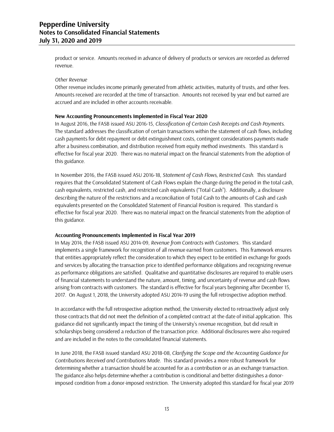product or service. Amounts received in advance of delivery of products or services are recorded as deferred revenue.

#### *Other Revenue*

Other revenue includes income primarily generated from athletic activities, maturity of trusts, and other fees. Amounts received are recorded at the time of transaction. Amounts not received by year end but earned are accrued and are included in other accounts receivable.

#### **New Accounting Pronouncements Implemented in Fiscal Year 2020**

In August 2016, the FASB issued ASU 2016-15, *Classification of Certain Cash Receipts and Cash Payments*. The standard addresses the classification of certain transactions within the statement of cash flows, including cash payments for debt repayment or debt extinguishment costs, contingent considerations payments made after a business combination, and distribution received from equity method investments. This standard is effective for fiscal year 2020. There was no material impact on the financial statements from the adoption of this guidance.

In November 2016, the FASB issued ASU 2016-18, *Statement of Cash Flows, Restricted Cash.* This standard requires that the Consolidated Statement of Cash Flows explain the change during the period in the total cash, cash equivalents, restricted cash, and restricted cash equivalents ("Total Cash"). Additionally, a disclosure describing the nature of the restrictions and a reconciliation of Total Cash to the amounts of Cash and cash equivalents presented on the Consolidated Statement of Financial Position is required. This standard is effective for fiscal year 2020. There was no material impact on the financial statements from the adoption of this guidance.

#### **Accounting Pronouncements Implemented in Fiscal Year 2019**

In May 2014, the FASB issued ASU 2014-09, *Revenue from Contracts with Customers*. This standard implements a single framework for recognition of all revenue earned from customers. This framework ensures that entities appropriately reflect the consideration to which they expect to be entitled in exchange for goods and services by allocating the transaction price to identified performance obligations and recognizing revenue as performance obligations are satisfied. Qualitative and quantitative disclosures are required to enable users of financial statements to understand the nature, amount, timing, and uncertainty of revenue and cash flows arising from contracts with customers. The standard is effective for fiscal years beginning after December 15, 2017. On August 1, 2018, the University adopted ASU 2014-19 using the full retrospective adoption method.

In accordance with the full retrospective adoption method, the University elected to retroactively adjust only those contracts that did not meet the definition of a completed contract at the date of initial application. This guidance did not significantly impact the timing of the University's revenue recognition, but did result in scholarships being considered a reduction of the transaction price. Additional disclosures were also required and are included in the notes to the consolidated financial statements.

In June 2018, the FASB issued standard ASU 2018-08, *Clarifying the Scope and the Accounting Guidance for Contributions Received and Contributions Made*. This standard provides a more robust framework for determining whether a transaction should be accounted for as a contribution or as an exchange transaction. The guidance also helps determine whether a contribution is conditional and better distinguishes a donorimposed condition from a donor-imposed restriction. The University adopted this standard for fiscal year 2019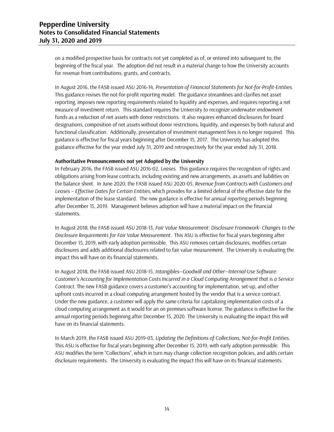on a modified prospective basis for contracts not yet completed as of, or entered into subsequent to, the beginning of the fiscal year. The adoption did not result in a material change to how the University accounts for revenue from contributions, grants, and contracts.

In August 2016, the FASB issued ASU 2016-14, *Presentation of Financial Statements for Not-for-Profit-Entities*. This guidance revises the not-for-profit reporting model. The guidance streamlines and clarifies net asset reporting, imposes new reporting requirements related to liquidity and expenses, and requires reporting a net measure of investment return. This standard requires the University to recognize underwater endowment funds as a reduction of net assets with donor restrictions. It also requires enhanced disclosures for board designations, composition of net assets without donor restrictions, liquidity, and expenses by both natural and functional classification. Additionally, presentation of investment management fees is no longer required. This guidance is effective for fiscal years beginning after December 15, 2017. The University has adopted this guidance effective for the year ended July 31, 2019 and retrospectively for the year ended July 31, 2018.

#### **Authoritative Pronouncements not yet Adopted by the University**

In February 2016, the FASB issued ASU 2016-02, *Leases*. This guidance requires the recognition of rights and obligations arising from lease contracts, including existing and new arrangements, as assets and liabilities on the balance sheet. In June 2020, the FASB issued ASU 2020-05, *Revenue from Contracts with Customers and Leases – Effective Dates for Certain Entities*, which provides for a limited deferral of the effective date for the implementation of the lease standard. The new guidance is effective for annual reporting periods beginning after December 15, 2019. Management believes adoption will have a material impact on the financial statements.

In August 2018, the FASB issued ASU 2018-13, *Fair Value Measurement: Disclosure Framework- Changes to the Disclosure Requirements for Fair Value Measurement*. This ASU is effective for fiscal years beginning after December 15, 2019, with early adoption permissible. This ASU removes certain disclosures, modifies certain disclosures and adds additional disclosures related to fair value measurement. The University is evaluating the impact this will have on its financial statements.

In August 2018, the FASB issued ASU 2018-15, *Intangibles—Goodwill and Other—Internal-Use Software: Customer's Accounting for Implementation Costs Incurred in a Cloud Computing Arrangement that is a Service Contract*. The new FASB guidance covers a customer's accounting for implementation, set-up, and other upfront costs incurred in a cloud computing arrangement hosted by the vendor that is a service contract. Under the new guidance, a customer will apply the same criteria for capitalizing implementation costs of a cloud computing arrangement as it would for an on premises software license. The guidance is effective for the annual reporting periods beginning after December 15, 2020. The University is evaluating the impact this will have on its financial statements.

In March 2019, the FASB issued ASU 2019-03, *Updating the Definitions of Collections, Not-for-Profit Entities*. This ASU is effective for fiscal years beginning after December 15, 2019, with early adoption permissible. This ASU modifies the term "Collections", which in turn may change collection recognition policies, and adds certain disclosure requirements. The University is evaluating the impact this will have on its financial statements.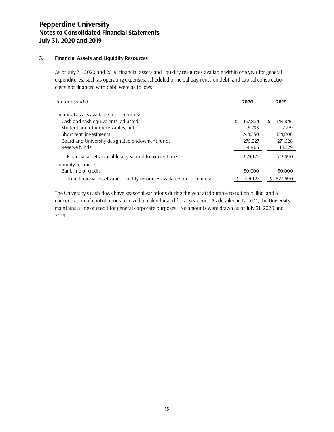#### **3. Financial Assets and Liquidity Resources**

As of July 31, 2020 and 2019, financial assets and liquidity resources available within one year for general expenditures, such as operating expenses, scheduled principal payments on debt, and capital construction costs not financed with debt, were as follows:

| (in thousands)                                                           |     | 2020    | 2019          |
|--------------------------------------------------------------------------|-----|---------|---------------|
| Financial assets available for current use:                              |     |         |               |
| Cash and cash equivalents, adjusted                                      | \$. | 137,854 | \$<br>144,846 |
| Student and other receivables, net                                       |     | 5,793   | 7,779         |
| Short term investments                                                   |     | 244,350 | 134,808       |
| Board and University designated endowment funds                          |     | 276,227 | 271,528       |
| Reserve funds                                                            |     | 9,903   | 14,529        |
| Financial assets available at year end for current use                   |     | 674,127 | 573,490       |
| Liquidity resources:                                                     |     |         |               |
| Bank line of credit                                                      |     | 50,000  | 50,000        |
| Total financial assets and liquidity resources available for current use |     | 724,127 | 623.490       |

The University's cash flows have seasonal variations during the year attributable to tuition billing, and a concentration of contributions received at calendar and fiscal year end. As detailed in Note 11, the University maintains a line of credit for general corporate purposes. No amounts were drawn as of July 31, 2020 and 2019.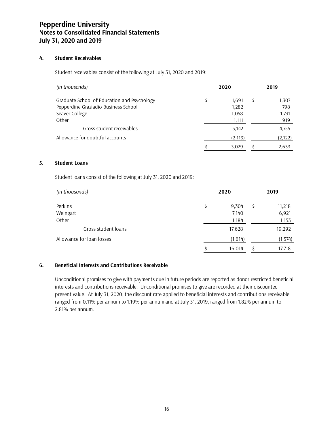#### **4. Student Receivables**

Student receivables consist of the following at July 31, 2020 and 2019:

| (in thousands)                              |   | 2020     | 2019        |
|---------------------------------------------|---|----------|-------------|
| Graduate School of Education and Psychology | Ś | 1,691    | \$<br>1,307 |
| Pepperdine Graziadio Business School        |   | 1,282    | 798         |
| Seaver College                              |   | 1,058    | 1,731       |
| Other                                       |   | 1,111    | 919         |
| Gross student receivables                   |   | 5,142    | 4,755       |
| Allowance for doubtful accounts             |   | (2, 113) | (2, 122)    |
|                                             |   | 3,029    | 2,633       |

#### **5. Student Loans**

Student loans consist of the following at July 31, 2020 and 2019:

| (in thousands)            | 2020 |         | 2019         |
|---------------------------|------|---------|--------------|
| Perkins                   | \$   | 9,304   | \$<br>11,218 |
| Weingart                  |      | 7,140   | 6,921        |
| Other                     |      | 1,184   | 1,153        |
| Gross student loans       |      | 17,628  | 19,292       |
| Allowance for loan losses |      | (1,614) | (1, 574)     |
|                           |      | 16,014  | 17,718       |

#### **6. Beneficial Interests and Contributions Receivable**

Unconditional promises to give with payments due in future periods are reported as donor restricted beneficial interests and contributions receivable. Unconditional promises to give are recorded at their discounted present value. At July 31, 2020, the discount rate applied to beneficial interests and contributions receivable ranged from 0.11% per annum to 1.19% per annum and at July 31, 2019, ranged from 1.82% per annum to 2.81% per annum.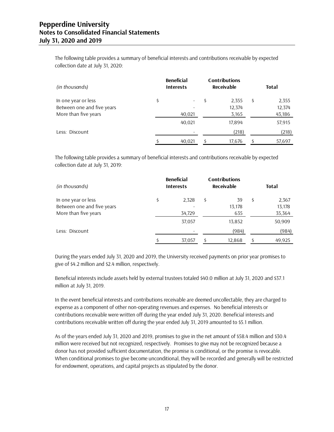The following table provides a summary of beneficial interests and contributions receivable by expected collection date at July 31, 2020:

| (in thousands)             | <b>Beneficial</b><br><b>Interests</b> | <b>Contributions</b><br>Receivable | <b>Total</b> |
|----------------------------|---------------------------------------|------------------------------------|--------------|
| In one year or less        | \$<br>۰.                              | \$<br>2,355                        | \$<br>2,355  |
| Between one and five years |                                       | 12,374                             | 12,374       |
| More than five years       | 40,021                                | 3,165                              | 43,186       |
|                            | 40,021                                | 17,894                             | 57,915       |
| Less: Discount             |                                       | (218)                              | (218)        |
|                            | 40.021                                | 17,676                             | 57,697       |

The following table provides a summary of beneficial interests and contributions receivable by expected collection date at July 31, 2019:

| (in thousands)             | <b>Beneficial</b><br><b>Interests</b> | <b>Contributions</b><br>Receivable | <b>Total</b> |
|----------------------------|---------------------------------------|------------------------------------|--------------|
| In one year or less        | \$<br>2,328                           | \$<br>39                           | \$<br>2,367  |
| Between one and five years |                                       | 13,178                             | 13,178       |
| More than five years       | 34,729                                | 635                                | 35,364       |
|                            | 37,057                                | 13,852                             | 50,909       |
| Less: Discount             |                                       | (984)                              | (984)        |
|                            | 37,057                                | 12.868                             | 49.925       |

During the years ended July 31, 2020 and 2019, the University received payments on prior year promises to give of \$4.2 million and \$2.4 million, respectively.

Beneficial interests include assets held by external trustees totaled \$40.0 million at July 31, 2020 and \$37.1 million at July 31, 2019.

In the event beneficial interests and contributions receivable are deemed uncollectable, they are charged to expense as a component of other non-operating revenues and expenses. No beneficial interests or contributions receivable were written off during the year ended July 31, 2020. Beneficial interests and contributions receivable written off during the year ended July 31, 2019 amounted to \$5.1 million.

As of the years ended July 31, 2020 and 2019, promises to give in the net amount of \$58.4 million and \$30.4 million were received but not recognized, respectively. Promises to give may not be recognized because a donor has not provided sufficient documentation, the promise is conditional, or the promise is revocable. When conditional promises to give become unconditional, they will be recorded and generally will be restricted for endowment, operations, and capital projects as stipulated by the donor.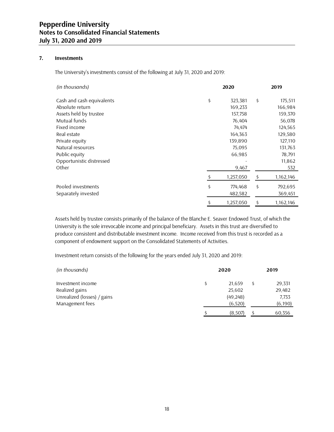#### **7. Investments**

The University's investments consist of the following at July 31, 2020 and 2019:

| (in thousands)            | 2020 |           |    | 2019      |
|---------------------------|------|-----------|----|-----------|
| Cash and cash equivalents | \$   | 323,381   | \$ | 175,511   |
| Absolute return           |      | 169,233   |    | 166,984   |
| Assets held by trustee    |      | 157,758   |    | 159,370   |
| Mutual funds              |      | 76,404    |    | 56,078    |
| Fixed income              |      | 74,474    |    | 124,565   |
| Real estate               |      | 164,363   |    | 129,580   |
| Private equity            |      | 139,890   |    | 127,110   |
| Natural resources         |      | 75,095    |    | 131,763   |
| Public equity             |      | 66,985    |    | 78,791    |
| Opportunistic distressed  |      |           |    | 11,862    |
| Other                     |      | 9,467     |    | 532       |
|                           |      | 1,257,050 | \$ | 1,162,146 |
| Pooled investments        | \$   | 774,468   | \$ | 792,695   |
| Separately invested       |      | 482,582   |    | 369,451   |
|                           |      | 1,257,050 | \$ | 1,162,146 |

Assets held by trustee consists primarily of the balance of the Blanche E. Seaver Endowed Trust, of which the University is the sole irrevocable income and principal beneficiary. Assets in this trust are diversified to produce consistent and distributable investment income. Income received from this trust is recorded as a component of endowment support on the Consolidated Statements of Activities.

Investment return consists of the following for the years ended July 31, 2020 and 2019:

| (in thousands)              |  | 2019      |          |  |
|-----------------------------|--|-----------|----------|--|
| Investment income           |  | 21.659    | 29,331   |  |
| Realized gains              |  | 25,602    | 29,482   |  |
| Unrealized (losses) / gains |  | (49, 248) | 7,733    |  |
| Management fees             |  | (6,520)   | (6, 190) |  |
|                             |  | (8,507)   | 60,356   |  |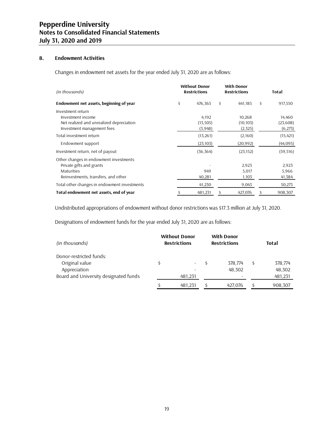#### **8. Endowment Activities**

Changes in endowment net assets for the year ended July 31, 2020 are as follows:

| (in thousands)                               | <b>Without Donor</b><br><b>Restrictions</b> |           | <b>With Donor</b><br><b>Restrictions</b> |    | Total     |
|----------------------------------------------|---------------------------------------------|-----------|------------------------------------------|----|-----------|
| Endowment net assets, beginning of year      | \$                                          | 476,365   | \$<br>441,185                            | \$ | 917,550   |
| Investment return                            |                                             |           |                                          |    |           |
| Investment income                            |                                             | 4,192     | 10,268                                   |    | 14,460    |
| Net realized and unrealized depreciation     |                                             | (13, 505) | (10, 103)                                |    | (23,608)  |
| Investment management fees                   |                                             | (3,948)   | (2,325)                                  |    | (6,273)   |
| Total investment return                      |                                             | (13,261)  | (2,160)                                  |    | (15, 421) |
| Endowment support                            |                                             | (23, 103) | (20, 992)                                |    | (44,095)  |
| Investment return, net of payout             |                                             | (36, 364) | (23, 152)                                |    | (59, 516) |
| Other changes in endowment investments       |                                             |           |                                          |    |           |
| Private gifts and grants                     |                                             |           | 2,923                                    |    | 2,923     |
| <b>Maturities</b>                            |                                             | 949       | 5,017                                    |    | 5,966     |
| Reinvestments, transfers, and other          |                                             | 40,281    | 1,103                                    |    | 41,384    |
| Total other changes in endowment investments |                                             | 41,230    | 9,043                                    |    | 50,273    |
| Total endowment net assets, end of year      |                                             | 481,231   | \$<br>427,076                            | \$ | 908,307   |

Undistributed appropriations of endowment without donor restrictions was \$17.3 million at July 31, 2020.

Designations of endowment funds for the year ended July 31, 2020 are as follows:

| (in thousands)                        | <b>Without Donor</b><br><b>Restrictions</b> | <b>With Donor</b><br><b>Restrictions</b> | <b>Total</b>  |
|---------------------------------------|---------------------------------------------|------------------------------------------|---------------|
| Donor-restricted funds:               |                                             |                                          |               |
| Original value                        |                                             | 378.774                                  | \$<br>378,774 |
| Appreciation                          |                                             | 48.302                                   | 48,302        |
| Board and University designated funds | 481.231                                     |                                          | 481,231       |
|                                       | 481.231                                     | 427.076                                  | 908.307       |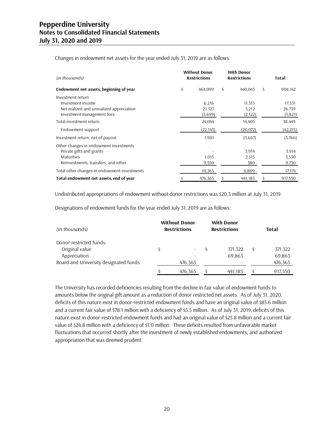Changes in endowment net assets for the year ended July 31, 2019 are as follows:

| (in thousands)                                                                                                          | <b>Without Donor</b><br><b>Restrictions</b> |                            | <b>With Donor</b><br><b>Restrictions</b> | Total                        |  |  |
|-------------------------------------------------------------------------------------------------------------------------|---------------------------------------------|----------------------------|------------------------------------------|------------------------------|--|--|
| Endowment net assets, beginning of year                                                                                 | \$                                          | 464.099                    | \$<br>440.043                            | \$<br>904,142                |  |  |
| Investment return<br>Investment income<br>Net realized and unrealized appreciation<br>Investment management fees        |                                             | 6,216<br>21,527<br>(3,699) | 11,315<br>5,212<br>(2, 122)              | 17,531<br>26,739<br>(5, 821) |  |  |
| Total investment return                                                                                                 |                                             | 24,044                     | 14,405                                   | 38,449                       |  |  |
| Endowment support                                                                                                       |                                             | (22, 143)                  | (20, 072)                                | (42, 215)                    |  |  |
| Investment return, net of payout                                                                                        |                                             | 1,901                      | (5,667)                                  | (3,766)                      |  |  |
| Other changes in endowment investments<br>Private gifts and grants<br>Maturities<br>Reinvestments, transfers, and other |                                             | 1,015<br>9,350             | 3,914<br>2,515<br>380                    | 3,914<br>3,530<br>9,730      |  |  |
| Total other changes in endowment investments                                                                            |                                             | 10,365                     | 6,809                                    | 17,174                       |  |  |
| Total endowment net assets, end of year                                                                                 |                                             | 476,365                    | 441,185                                  | \$<br>917,550                |  |  |

Undistributed appropriations of endowment without donor restrictions was \$20.3 million at July 31, 2019.

Designations of endowment funds for the year ended July 31, 2019 are as follows:

| (in thousands)                        | <b>Without Donor</b><br><b>Restrictions</b> |                          |  | <b>With Donor</b><br><b>Restrictions</b> |   | Total   |
|---------------------------------------|---------------------------------------------|--------------------------|--|------------------------------------------|---|---------|
| Donor-restricted funds:               |                                             |                          |  |                                          |   |         |
| Original value                        | Ś                                           | $\overline{\phantom{0}}$ |  | 371,322                                  | Ś | 371,322 |
| Appreciation                          |                                             |                          |  | 69,863                                   |   | 69,863  |
| Board and University designated funds |                                             | 476,365                  |  |                                          |   | 476,365 |
|                                       |                                             | 476,365                  |  | 441.185                                  |   | 917,550 |

The University has recorded deficiencies resulting from the decline in fair value of endowment funds to amounts below the original gift amount as a reduction of donor restricted net assets. As of July 31, 2020, deficits of this nature exist in donor-restricted endowment funds and have an original value of \$83.6 million and a current fair value of \$78.1 million with a deficiency of \$5.5 million. As of July 31, 2019, deficits of this nature exist in donor-restricted endowment funds and had an original value of \$25.8 million and a current fair value of \$24.8 million with a deficiency of \$1.0 million. These deficits resulted from unfavorable market fluctuations that occurred shortly after the investment of newly established endowments, and authorized appropriation that was deemed prudent.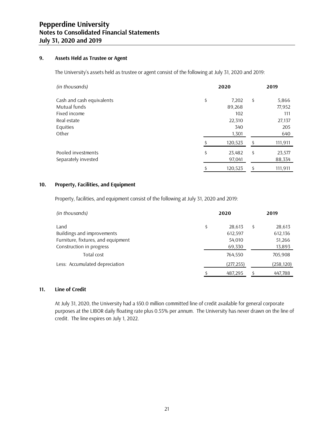#### **9. Assets Held as Trustee or Agent**

The University's assets held as trustee or agent consist of the following at July 31, 2020 and 2019:

| (in thousands)            | 2020          |    |         |
|---------------------------|---------------|----|---------|
| Cash and cash equivalents | \$<br>7,202   | \$ | 5,866   |
| Mutual funds              | 89,268        |    | 77,952  |
| Fixed income              | 102           |    | 111     |
| Real estate               | 22,310        |    | 27,137  |
| Equities                  | 340           |    | 205     |
| Other                     | 1,301         |    | 640     |
|                           | 120,523       | Ś  | 111,911 |
| Pooled investments        | \$<br>23,482  | \$ | 23,577  |
| Separately invested       | 97,041        |    | 88,334  |
|                           | \$<br>120,523 | \$ | 111,911 |

#### **10. Property, Facilities, and Equipment**

Property, facilities, and equipment consist of the following at July 31, 2020 and 2019:

| (in thousands)                     | 2020 |           |    | 2019       |  |  |
|------------------------------------|------|-----------|----|------------|--|--|
| Land                               | \$   | 28,613    | \$ | 28,613     |  |  |
| Buildings and improvements         |      | 612,597   |    | 612,136    |  |  |
| Furniture, fixtures, and equipment |      | 54,010    |    | 51,266     |  |  |
| Construction in progress           |      | 69,330    |    | 13,893     |  |  |
| Total cost                         |      | 764,550   |    | 705,908    |  |  |
| Less: Accumulated depreciation     |      | (277,255) |    | (258, 120) |  |  |
|                                    |      | 487,295   |    | 447,788    |  |  |

#### **11. Line of Credit**

At July 31, 2020, the University had a \$50.0 million committed line of credit available for general corporate purposes at the LIBOR daily floating rate plus 0.55% per annum. The University has never drawn on the line of credit. The line expires on July 1, 2022.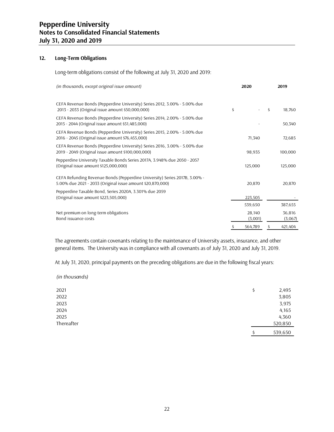#### **12. Long-Term Obligations**

Long-term obligations consist of the following at July 31, 2020 and 2019:

| (in thousands, except original issue amount)                                                                                             |    | 2019              |    |                   |
|------------------------------------------------------------------------------------------------------------------------------------------|----|-------------------|----|-------------------|
| CEFA Revenue Bonds (Pepperdine University) Series 2012, 3.00% - 5.00% due<br>2013 - 2033 (Original issue amount \$50,000,000)            | \$ |                   | \$ | 18,760            |
| CEFA Revenue Bonds (Pepperdine University) Series 2014, 2.00% - 5.00% due<br>2015 - 2044 (Original issue amount \$51,485,000)            |    |                   |    | 50,340            |
| CEFA Revenue Bonds (Pepperdine University) Series 2015, 2.00% - 5.00% due<br>2016 - 2045 (Original issue amount \$76,455,000)            |    | 71,340            |    | 72,685            |
| CEFA Revenue Bonds (Pepperdine University) Series 2016, 3.00% - 5.00% due<br>2019 - 2049 (Original issue amount \$100,000,000)           |    | 98,935            |    | 100,000           |
| Pepperdine University Taxable Bonds Series 2017A, 3.948% due 2050 - 2057<br>(Original issue amount \$125,000,000)                        |    | 125,000           |    | 125,000           |
| CEFA Refunding Revenue Bonds (Pepperdine University) Series 2017B, 3.00% -<br>5.00% due 2021 - 2033 (Original issue amount \$20,870,000) |    | 20,870            |    | 20,870            |
| Pepperdine Taxable Bond, Series 2020A, 3.301% due 2059<br>(Original issue amount \$223,505,000)                                          |    | 223,505           |    |                   |
|                                                                                                                                          |    | 539,650           |    | 387,655           |
| Net premium on long-term obligations<br>Bond issuance costs                                                                              |    | 28,140<br>(3,001) |    | 36,816<br>(3,067) |
|                                                                                                                                          | \$ | 564,789           | \$ | 421,404           |

The agreements contain covenants relating to the maintenance of University assets, insurance, and other general items. The University was in compliance with all covenants as of July 31, 2020 and July 31, 2019.

At July 31, 2020, principal payments on the preceding obligations are due in the following fiscal years:

| (in thousands) |               |
|----------------|---------------|
| 2021           | 2,495<br>\$   |
| 2022           | 3,805         |
| 2023           | 3,975         |
| 2024           | 4,165         |
| 2025           | 4,360         |
| Thereafter     | 520,850       |
|                | 539,650<br>\$ |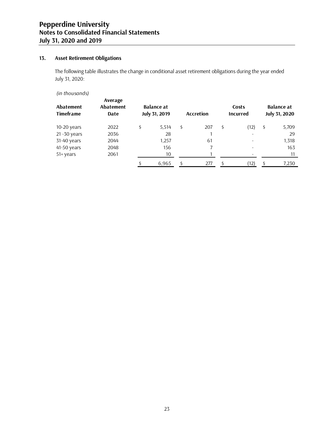# **13. Asset Retirement Obligations**

The following table illustrates the change in conditional asset retirement obligations during the year ended July 31, 2020:

*(in thousands)*

| <b>Abatement</b><br><b>Timeframe</b> | Average<br><b>Abatement</b><br>Date | <b>Balance at</b><br><b>July 31, 2019</b> | <b>Accretion</b> |    | Costs<br><b>Incurred</b> | <b>Balance at</b><br><b>July 31, 2020</b> |
|--------------------------------------|-------------------------------------|-------------------------------------------|------------------|----|--------------------------|-------------------------------------------|
| 10-20 years                          | 2022                                | \$<br>5,514                               | \$<br>207        | \$ | (12)                     | \$<br>5,709                               |
| 21-30 years                          | 2036                                | 28                                        |                  |    |                          | 29                                        |
| 31-40 years                          | 2044                                | 1,257                                     | 61               |    |                          | 1,318                                     |
| 41-50 years                          | 2048                                | 156                                       |                  |    |                          | 163                                       |
| 51+ years                            | 2061                                | 10                                        |                  |    |                          | 11                                        |
|                                      |                                     | 6.965                                     | 277              | Ś  | (12)                     | 7,230                                     |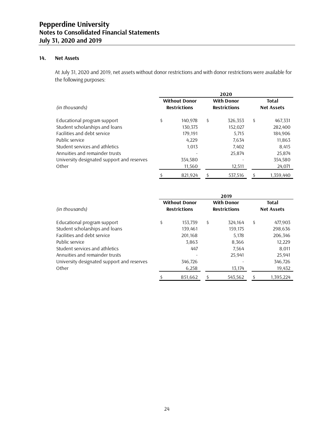### **14. Net Assets**

At July 31, 2020 and 2019, net assets without donor restrictions and with donor restrictions were available for the following purposes:

|                                            | 2020 |                                             |    |                                          |    |                                   |  |  |  |  |  |
|--------------------------------------------|------|---------------------------------------------|----|------------------------------------------|----|-----------------------------------|--|--|--|--|--|
| (in thousands)                             |      | <b>Without Donor</b><br><b>Restrictions</b> |    | <b>With Donor</b><br><b>Restrictions</b> |    | <b>Total</b><br><b>Net Assets</b> |  |  |  |  |  |
| Educational program support                | \$   | 140,978                                     | \$ | 326,353                                  | \$ | 467,331                           |  |  |  |  |  |
| Student scholarships and loans             |      | 130,373                                     |    | 152,027                                  |    | 282,400                           |  |  |  |  |  |
| Facilities and debt service                |      | 179,191                                     |    | 5,715                                    |    | 184,906                           |  |  |  |  |  |
| Public service                             |      | 4,229                                       |    | 7.634                                    |    | 11,863                            |  |  |  |  |  |
| Student services and athletics             |      | 1,013                                       |    | 7,402                                    |    | 8,415                             |  |  |  |  |  |
| Annuities and remainder trusts             |      |                                             |    | 25,874                                   |    | 25,874                            |  |  |  |  |  |
| University designated support and reserves |      | 354,580                                     |    |                                          |    | 354,580                           |  |  |  |  |  |
| Other                                      |      | 11,560                                      |    | 12,511                                   |    | 24,071                            |  |  |  |  |  |
|                                            |      | 821.924                                     |    | 537.516                                  | \$ | 1,359,440                         |  |  |  |  |  |

|                                            | 2019 |                                             |    |                                          |    |                                   |  |  |  |  |
|--------------------------------------------|------|---------------------------------------------|----|------------------------------------------|----|-----------------------------------|--|--|--|--|
| (in thousands)                             |      | <b>Without Donor</b><br><b>Restrictions</b> |    | <b>With Donor</b><br><b>Restrictions</b> |    | <b>Total</b><br><b>Net Assets</b> |  |  |  |  |
|                                            |      |                                             |    |                                          |    |                                   |  |  |  |  |
| Educational program support                | \$   | 153,739                                     | \$ | 324,164                                  | \$ | 477,903                           |  |  |  |  |
| Student scholarships and loans             |      | 139,461                                     |    | 159,175                                  |    | 298,636                           |  |  |  |  |
| Facilities and debt service                |      | 201,168                                     |    | 5,178                                    |    | 206,346                           |  |  |  |  |
| Public service                             |      | 3,863                                       |    | 8,366                                    |    | 12,229                            |  |  |  |  |
| Student services and athletics             |      | 447                                         |    | 7.564                                    |    | 8,011                             |  |  |  |  |
| Annuities and remainder trusts             |      |                                             |    | 25.941                                   |    | 25,941                            |  |  |  |  |
| University designated support and reserves |      | 346,726                                     |    |                                          |    | 346,726                           |  |  |  |  |
| Other                                      |      | 6,258                                       |    | 13,174                                   |    | 19,432                            |  |  |  |  |
|                                            | \$   | 851,662                                     | Ś  | 543,562                                  | \$ | 1,395,224                         |  |  |  |  |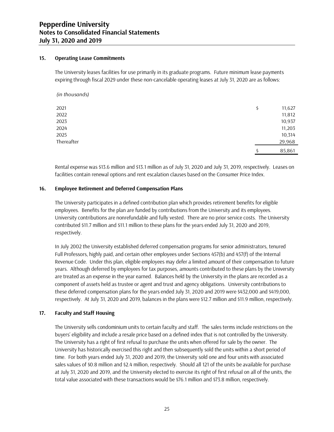#### **15. Operating Lease Commitments**

The University leases facilities for use primarily in its graduate programs. Future minimum lease payments expiring through fiscal 2029 under these non-cancelable operating leases at July 31, 2020 are as follows:

| (in thousands) |              |
|----------------|--------------|
| 2021           | \$<br>11,627 |
| 2022           | 11,812       |
| 2023           | 10,937       |
| 2024           | 11,203       |
| 2025           | 10,314       |
| Thereafter     | 29,968       |
|                | 85,861       |

Rental expense was \$13.6 million and \$13.1 million as of July 31, 2020 and July 31, 2019, respectively. Leases on facilities contain renewal options and rent escalation clauses based on the Consumer Price Index.

#### **16. Employee Retirement and Deferred Compensation Plans**

The University participates in a defined contribution plan which provides retirement benefits for eligible employees. Benefits for the plan are funded by contributions from the University and its employees. University contributions are nonrefundable and fully vested. There are no prior service costs. The University contributed \$11.7 million and \$11.1 million to these plans for the years ended July 31, 2020 and 2019, respectively.

In July 2002 the University established deferred compensation programs for senior administrators, tenured Full Professors, highly paid, and certain other employees under Sections 457(b) and 457(f) of the Internal Revenue Code. Under this plan, eligible employees may defer a limited amount of their compensation to future years. Although deferred by employees for tax purposes, amounts contributed to these plans by the University are treated as an expense in the year earned. Balances held by the University in the plans are recorded as a component of assets held as trustee or agent and trust and agency obligations. University contributions to these deferred compensation plans for the years ended July 31, 2020 and 2019 were \$432,000 and \$419,000, respectively. At July 31, 2020 and 2019, balances in the plans were \$12.7 million and \$11.9 million, respectively.

#### **17. Faculty and Staff Housing**

The University sells condominium units to certain faculty and staff. The sales terms include restrictions on the buyers' eligibility and include a resale price based on a defined index that is not controlled by the University. The University has a right of first refusal to purchase the units when offered for sale by the owner. The University has historically exercised this right and then subsequently sold the units within a short period of time. For both years ended July 31, 2020 and 2019, the University sold one and four units with associated sales values of \$0.8 million and \$2.4 million, respectively. Should all 121 of the units be available for purchase at July 31, 2020 and 2019, and the University elected to exercise its right of first refusal on all of the units, the total value associated with these transactions would be \$76.1 million and \$73.8 million, respectively.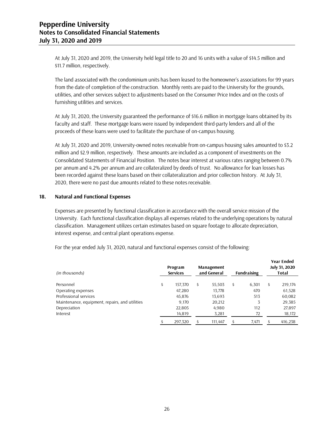At July 31, 2020 and 2019, the University held legal title to 20 and 16 units with a value of \$14.5 million and \$11.7 million, respectively.

The land associated with the condominium units has been leased to the homeowner's associations for 99 years from the date of completion of the construction. Monthly rents are paid to the University for the grounds, utilities, and other services subject to adjustments based on the Consumer Price Index and on the costs of furnishing utilities and services.

At July 31, 2020, the University guaranteed the performance of \$16.6 million in mortgage loans obtained by its faculty and staff. These mortgage loans were issued by independent third-party lenders and all of the proceeds of these loans were used to facilitate the purchase of on-campus housing.

At July 31, 2020 and 2019, University-owned notes receivable from on-campus housing sales amounted to \$3.2 million and \$2.9 million, respectively. These amounts are included as a component of investments on the Consolidated Statements of Financial Position. The notes bear interest at various rates ranging between 0.7% per annum and 4.2% per annum and are collateralized by deeds of trust. No allowance for loan losses has been recorded against these loans based on their collateralization and prior collection history. At July 31, 2020, there were no past due amounts related to these notes receivable.

#### **18. Natural and Functional Expenses**

Expenses are presented by functional classification in accordance with the overall service mission of the University. Each functional classification displays all expenses related to the underlying operations by natural classification. Management utilizes certain estimates based on square footage to allocate depreciation, interest expense, and central plant operations expense.

| (in thousands)                                 | Program<br><b>Services</b> | Management<br>and General |   | <b>Fundraising</b> | <b>Year Ended</b><br><b>July 31, 2020</b><br>Total |
|------------------------------------------------|----------------------------|---------------------------|---|--------------------|----------------------------------------------------|
| Personnel                                      | 157,370                    | 55.503                    | Ś | 6.301              |                                                    |
|                                                | \$                         | \$                        |   |                    | \$<br>219,174                                      |
| Operating expenses                             | 47,280                     | 13,778                    |   | 470                | 61,528                                             |
| Professional services                          | 45,876                     | 13,693                    |   | 513                | 60,082                                             |
| Maintenance, equipment, repairs, and utilities | 9,170                      | 20,212                    |   | 3                  | 29,385                                             |
| Depreciation                                   | 22,805                     | 4,980                     |   | 112                | 27,897                                             |
| Interest                                       | 14,819                     | 3,281                     |   | 72                 | 18,172                                             |
|                                                | 297.320                    | 111.447                   |   | 7.471              | 416,238                                            |

For the year ended July 31, 2020, natural and functional expenses consist of the following: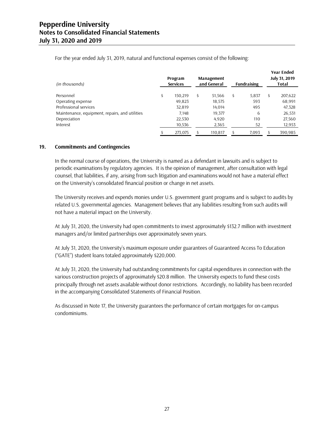| (in thousands)                                 | Program<br><b>Services</b> | <b>Management</b><br>and General | <b>Fundraising</b> | <b>Year Ended</b><br><b>July 31, 2019</b><br>Total |
|------------------------------------------------|----------------------------|----------------------------------|--------------------|----------------------------------------------------|
| Personnel                                      | \$<br>150.219              | \$<br>51,566                     | \$<br>5,837        | \$<br>207,622                                      |
|                                                |                            |                                  |                    |                                                    |
| Operating expense                              | 49.823                     | 18,575                           | 593                | 68,991                                             |
| Professional services                          | 32,819                     | 14,014                           | 495                | 47,328                                             |
| Maintenance, equipment, repairs, and utilities | 7.148                      | 19.377                           | 6                  | 26,531                                             |
| Depreciation                                   | 22,530                     | 4,920                            | 110                | 27,560                                             |
| Interest                                       | 10,536                     | 2,365                            | 52                 | 12,953                                             |
|                                                | 273.075                    | 110.817                          | 7,093              | 390.985                                            |

For the year ended July 31, 2019, natural and functional expenses consist of the following:

#### **19. Commitments and Contingencies**

In the normal course of operations, the University is named as a defendant in lawsuits and is subject to periodic examinations by regulatory agencies. It is the opinion of management, after consultation with legal counsel, that liabilities, if any, arising from such litigation and examinations would not have a material effect on the University's consolidated financial position or change in net assets.

The University receives and expends monies under U.S. government grant programs and is subject to audits by related U.S. governmental agencies. Management believes that any liabilities resulting from such audits will not have a material impact on the University.

At July 31, 2020, the University had open commitments to invest approximately \$132.7 million with investment managers and/or limited partnerships over approximately seven years.

At July 31, 2020, the University's maximum exposure under guarantees of Guaranteed Access To Education ("GATE") student loans totaled approximately \$220,000.

At July 31, 2020, the University had outstanding commitments for capital expenditures in connection with the various construction projects of approximately \$20.8 million. The University expects to fund these costs principally through net assets available without donor restrictions. Accordingly, no liability has been recorded in the accompanying Consolidated Statements of Financial Position.

As discussed in Note 17, the University guarantees the performance of certain mortgages for on-campus condominiums.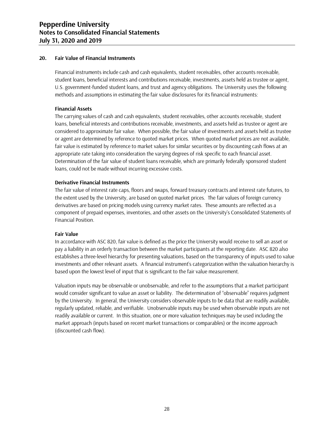#### **20. Fair Value of Financial Instruments**

Financial instruments include cash and cash equivalents, student receivables, other accounts receivable, student loans, beneficial interests and contributions receivable, investments, assets held as trustee or agent, U.S. government-funded student loans, and trust and agency obligations. The University uses the following methods and assumptions in estimating the fair value disclosures for its financial instruments:

#### **Financial Assets**

The carrying values of cash and cash equivalents, student receivables, other accounts receivable, student loans, beneficial interests and contributions receivable, investments, and assets held as trustee or agent are considered to approximate fair value. When possible, the fair value of investments and assets held as trustee or agent are determined by reference to quoted market prices. When quoted market prices are not available, fair value is estimated by reference to market values for similar securities or by discounting cash flows at an appropriate rate taking into consideration the varying degrees of risk specific to each financial asset. Determination of the fair value of student loans receivable, which are primarily federally sponsored student loans, could not be made without incurring excessive costs.

#### **Derivative Financial Instruments**

The fair value of interest rate caps, floors and swaps, forward treasury contracts and interest rate futures, to the extent used by the University, are based on quoted market prices. The fair values of foreign currency derivatives are based on pricing models using currency market rates. These amounts are reflected as a component of prepaid expenses, inventories, and other assets on the University's Consolidated Statements of Financial Position.

#### **Fair Value**

In accordance with ASC 820, fair value is defined as the price the University would receive to sell an asset or pay a liability in an orderly transaction between the market participants at the reporting date. ASC 820 also establishes a three-level hierarchy for presenting valuations, based on the transparency of inputs used to value investments and other relevant assets. A financial instrument's categorization within the valuation hierarchy is based upon the lowest level of input that is significant to the fair value measurement.

Valuation inputs may be observable or unobservable, and refer to the assumptions that a market participant would consider significant to value an asset or liability. The determination of "observable" requires judgment by the University. In general, the University considers observable inputs to be data that are readily available, regularly updated, reliable, and verifiable. Unobservable inputs may be used when observable inputs are not readily available or current. In this situation, one or more valuation techniques may be used including the market approach (inputs based on recent market transactions or comparables) or the income approach (discounted cash flow).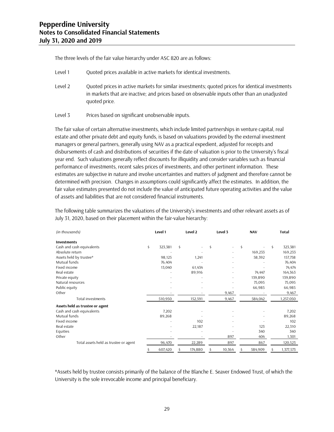The three levels of the fair value hierarchy under ASC 820 are as follows:

- Level 1 Quoted prices available in active markets for identical investments.
- Level 2 Quoted prices in active markets for similar investments; quoted prices for identical investments in markets that are inactive; and prices based on observable inputs other than an unadjusted quoted price.
- Level 3 Prices based on significant unobservable inputs.

The fair value of certain alternative investments, which include limited partnerships in venture capital, real estate and other private debt and equity funds, is based on valuations provided by the external investment managers or general partners, generally using NAV as a practical expedient, adjusted for receipts and disbursements of cash and distributions of securities if the date of valuation is prior to the University's fiscal year end. Such valuations generally reflect discounts for illiquidity and consider variables such as financial performance of investments, recent sales prices of investments, and other pertinent information. These estimates are subjective in nature and involve uncertainties and matters of judgment and therefore cannot be determined with precision. Changes in assumptions could significantly affect the estimates. In addition, the fair value estimates presented do not include the value of anticipated future operating activities and the value of assets and liabilities that are not considered financial instruments.

The following table summarizes the valuations of the University's investments and other relevant assets as of July 31, 2020, based on their placement within the fair-value hierarchy:

| (in thousands)                        | Level 1 |         |    | Level 2 |    | Level 3 |    | <b>NAV</b> |    | <b>Total</b> |  |
|---------------------------------------|---------|---------|----|---------|----|---------|----|------------|----|--------------|--|
| <b>Investments</b>                    |         |         |    |         |    |         |    |            |    |              |  |
| Cash and cash equivalents             | \$      | 323,381 | \$ |         | \$ |         | \$ |            | \$ | 323,381      |  |
| Absolute return                       |         |         |    |         |    |         |    | 169,233    |    | 169,233      |  |
| Assets held by trustee*               |         | 98,125  |    | 1,241   |    |         |    | 58,392     |    | 157,758      |  |
| Mutual funds                          |         | 76,404  |    |         |    |         |    |            |    | 76,404       |  |
| Fixed income                          |         | 13,040  |    | 61,434  |    |         |    |            |    | 74,474       |  |
| Real estate                           |         |         |    | 89,916  |    |         |    | 74,447     |    | 164,363      |  |
| Private equity                        |         |         |    |         |    |         |    | 139,890    |    | 139,890      |  |
| Natural resources                     |         |         |    |         |    |         |    | 75,095     |    | 75,095       |  |
| Public equity                         |         |         |    |         |    |         |    | 66,985     |    | 66,985       |  |
| Other                                 |         |         |    |         |    | 9,467   |    |            |    | 9,467        |  |
| Total investments                     |         | 510,950 |    | 152,591 |    | 9,467   |    | 584,042    |    | 1,257,050    |  |
| Assets held as trustee or agent       |         |         |    |         |    |         |    |            |    |              |  |
| Cash and cash equivalents             |         | 7,202   |    |         |    |         |    |            |    | 7,202        |  |
| Mutual funds                          |         | 89,268  |    |         |    |         |    |            |    | 89,268       |  |
| Fixed income                          |         |         |    | 102     |    |         |    |            |    | 102          |  |
| Real estate                           |         |         |    | 22,187  |    |         |    | 123        |    | 22,310       |  |
| Equities                              |         |         |    |         |    |         |    | 340        |    | 340          |  |
| Other                                 |         |         |    |         |    | 897     |    | 404        |    | 1,301        |  |
| Total assets held as trustee or agent |         | 96,470  |    | 22,289  |    | 897     |    | 867        |    | 120,523      |  |
|                                       | \$      | 607,420 | S  | 174,880 | \$ | 10,364  |    | 584,909    |    | 1,377,573    |  |

\*Assets held by trustee consists primarily of the balance of the Blanche E. Seaver Endowed Trust, of which the University is the sole irrevocable income and principal beneficiary.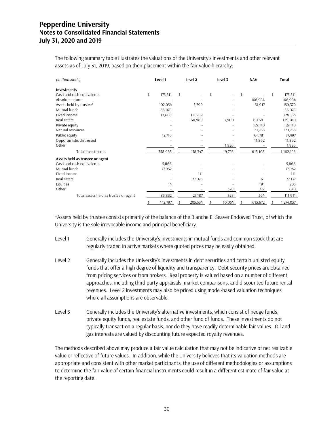The following summary table illustrates the valuations of the University's investments and other relevant assets as of July 31, 2019, based on their placement within the fair value hierarchy:

| (in thousands)                        |    | Level 2<br>Level 1 |    | Level 3                  | <b>NAV</b>   |    |         | <b>Total</b> |           |
|---------------------------------------|----|--------------------|----|--------------------------|--------------|----|---------|--------------|-----------|
| <b>Investments</b>                    |    |                    |    |                          |              |    |         |              |           |
| Cash and cash equivalents             | \$ | 175,511            | \$ | $\overline{\phantom{a}}$ | \$<br>٠      | \$ |         | Ś.           | 175,511   |
| Absolute return                       |    |                    |    |                          |              |    | 166,984 |              | 166,984   |
| Assets held by trustee*               |    | 102,054            |    | 5,399                    |              |    | 51,917  |              | 159,370   |
| Mutual funds                          |    | 56,078             |    |                          |              |    |         |              | 56,078    |
| Fixed income                          |    | 12,606             |    | 111,959                  |              |    |         |              | 124,565   |
| Real estate                           |    |                    |    | 60,989                   | 7,900        |    | 60,691  |              | 129,580   |
| Private equity                        |    |                    |    |                          |              |    | 127,110 |              | 127,110   |
| Natural resources                     |    |                    |    |                          |              |    | 131,763 |              | 131,763   |
| Public equity                         |    | 12,716             |    |                          |              |    | 64,781  |              | 77,497    |
| Opportunistic distressed              |    |                    |    |                          |              |    | 11,862  |              | 11,862    |
| Other                                 |    |                    |    |                          | 1,826        |    |         |              | 1,826     |
| Total investments                     |    | 358,965            |    | 178,347                  | 9,726        |    | 615,108 |              | 1,162,146 |
| Assets held as trustee or agent       |    |                    |    |                          |              |    |         |              |           |
| Cash and cash equivalents             |    | 5,866              |    |                          |              |    |         |              | 5,866     |
| Mutual funds                          |    | 77,952             |    |                          |              |    |         |              | 77,952    |
| Fixed income                          |    |                    |    | 111                      |              |    |         |              | 111       |
| Real estate                           |    |                    |    | 27,076                   |              |    | 61      |              | 27,137    |
| Equities                              |    | 14                 |    |                          |              |    | 191     |              | 205       |
| Other                                 |    |                    |    |                          | 328          |    | 312     |              | 640       |
| Total assets held as trustee or agent |    | 83,832             |    | 27,187                   | 328          |    | 564     |              | 111,911   |
|                                       | \$ | 442,797            | \$ | 205,534                  | \$<br>10,054 | \$ | 615,672 | Ś            | 1,274,057 |

\*Assets held by trustee consists primarily of the balance of the Blanche E. Seaver Endowed Trust, of which the University is the sole irrevocable income and principal beneficiary.

- Level 1 Generally includes the University's investments in mutual funds and common stock that are regularly traded in active markets where quoted prices may be easily obtained.
- Level 2 Generally includes the University's investments in debt securities and certain unlisted equity funds that offer a high degree of liquidity and transparency. Debt security prices are obtained from pricing services or from brokers. Real property is valued based on a number of different approaches, including third party appraisals, market comparisons, and discounted future rental revenues. Level 2 investments may also be priced using model-based valuation techniques where all assumptions are observable.
- Level 3 Generally includes the University's alternative investments, which consist of hedge funds, private equity funds, real estate funds, and other fund of funds. These investments do not typically transact on a regular basis, nor do they have readily determinable fair values. Oil and gas interests are valued by discounting future expected royalty revenues.

The methods described above may produce a fair value calculation that may not be indicative of net realizable value or reflective of future values. In addition, while the University believes that its valuation methods are appropriate and consistent with other market participants, the use of different methodologies or assumptions to determine the fair value of certain financial instruments could result in a different estimate of fair value at the reporting date.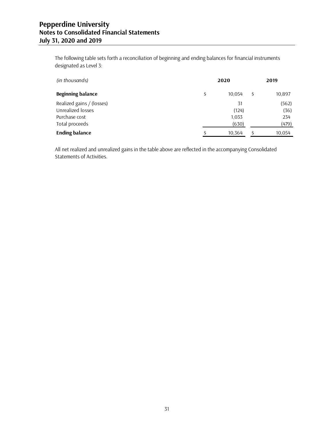The following table sets forth a reconciliation of beginning and ending balances for financial instruments designated as Level 3:

| (in thousands)            | 2020         | 2019         |
|---------------------------|--------------|--------------|
| <b>Beginning balance</b>  | \$<br>10.054 | \$<br>10,897 |
| Realized gains / (losses) | 31           | (562)        |
| Unrealized losses         | (124)        | (36)         |
| Purchase cost             | 1,033        | 234          |
| Total proceeds            | (630)        | (479)        |
| <b>Ending balance</b>     | 10,364       | 10,054       |

All net realized and unrealized gains in the table above are reflected in the accompanying Consolidated Statements of Activities.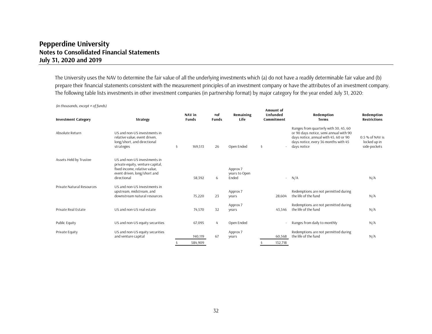The University uses the NAV to determine the fair value of all the underlying investments which (a) do not have a readily determinable fair value and (b) prepare their financial statements consistent with the measurement principles of an investment company or have the attributes of an investment company. The following table lists investments in other investment companies (in partnership format) by major category for the year ended July 31, 2020:

| <b>Investment Category</b> | <b>Strategy</b>                                                                                                                                      |    | NAV in<br><b>Funds</b> | #of<br><b>Funds</b> | Remaining<br>Life                  |    | Amount of<br>Unfunded<br>Commitment | Redemption<br><b>Terms</b>                                                                                                                                                      | Redemption<br><b>Restrictions</b>               |
|----------------------------|------------------------------------------------------------------------------------------------------------------------------------------------------|----|------------------------|---------------------|------------------------------------|----|-------------------------------------|---------------------------------------------------------------------------------------------------------------------------------------------------------------------------------|-------------------------------------------------|
| Absolute Return            | U.S. and non-U.S. investments in<br>relative value, event driven,<br>long/short, and directional<br>strategies                                       | \$ | 169,513                | 26                  | Open Ended                         | \$ |                                     | Ranges from quarterly with 30, 45, 60<br>or 90 days notice, semi annual with 90<br>days notice, annual with 45, 60 or 90<br>days notice, every 36 months with 45<br>days notice | 0.5 % of NAV is<br>locked up in<br>side-pockets |
| Assets Held by Trustee     | U.S. and non-U.S. investments in<br>private equity, venture capital,<br>fixed income, relative value,<br>event driven, long/short and<br>directional |    | 58,392                 | 6                   | Approx 7<br>years to Open<br>Ended |    | ٠                                   | N/A                                                                                                                                                                             | N/A                                             |
| Private Natural Resources  | US and non-US Investments in<br>upstream, midstream, and<br>downstream natural resources                                                             |    | 75,220                 | 23                  | Approx 7<br>vears                  |    | 28,604                              | Redemptions are not permitted during<br>the life of the fund                                                                                                                    | N/A                                             |
| Private Real Estate        | US and non-US real estate                                                                                                                            |    | 74,570                 | 32                  | Approx 7<br>vears                  |    | 43,546                              | Redemptions are not permitted during<br>the life of the fund                                                                                                                    | N/A                                             |
| Public Equity              | US and non-US equity securities                                                                                                                      |    | 67,095                 | 4                   | Open Ended                         |    |                                     | Ranges from daily to monthly                                                                                                                                                    | N/A                                             |
| Private Equity             | US and non-US equity securities<br>and venture capital                                                                                               | Ś. | 140,119<br>584.909     | 67                  | Approx 7<br>years                  | Ŝ  | 60,568<br>132.718                   | Redemptions are not permitted during<br>the life of the fund                                                                                                                    | N/A                                             |

*(in thousands, except # of funds)*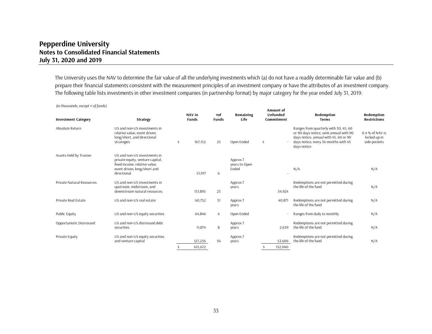The University uses the NAV to determine the fair value of all the underlying investments which (a) do not have a readily determinable fair value and (b) prepare their financial statements consistent with the measurement principles of an investment company or have the attributes of an investment company. The following table lists investments in other investment companies (in partnership format) by major category for the year ended July 31, 2019:

| $\mu$ , thousands, except<br>$v_1$ , and $v_2$ |                                                                                                                                                  |    | NAV in       | #of          | Remaining                          |    | Amount of<br>Unfunded | Redemption                                                                                                                                                                      | Redemption                                      |
|------------------------------------------------|--------------------------------------------------------------------------------------------------------------------------------------------------|----|--------------|--------------|------------------------------------|----|-----------------------|---------------------------------------------------------------------------------------------------------------------------------------------------------------------------------|-------------------------------------------------|
| <b>Investment Category</b>                     | <b>Strategy</b>                                                                                                                                  |    | <b>Funds</b> | <b>Funds</b> | Life                               |    | Commitment            | <b>Terms</b>                                                                                                                                                                    | <b>Restrictions</b>                             |
| Absolute Return                                | US and non-US investments in<br>relative value, event driven,<br>long/short, and directional<br>strategies                                       | \$ | 167,152      | 25           | Open Ended                         | \$ |                       | Ranges from quarterly with 30, 45, 60<br>or 90 days notice, semi annual with 90<br>days notice, annual with 45, 60 or 90<br>days notice, every 36 months with 45<br>days notice | 0.4 % of NAV is<br>locked up in<br>side-pockets |
| Assets Held by Trustee                         | US and non-US investments in<br>private equity, venture capital,<br>fixed income, relative value,<br>event driven, long/short and<br>directional |    | 51,917       | 6            | Approx 7<br>years to Open<br>Ended |    |                       | N/A                                                                                                                                                                             | N/A                                             |
| Private Natural Resources                      | U.S. and non-U.S. Investments in<br>upstream, midstream, and<br>downstream natural resources                                                     |    | 131,895      | 23           | Approx 7<br>years                  |    | 34,924                | Redemptions are not permitted during<br>the life of the fund                                                                                                                    | N/A                                             |
| Private Real Estate                            | US and non-US real estate                                                                                                                        |    | 60,752       | 31           | Approx 7<br>years                  |    | 40,871                | Redemptions are not permitted during<br>the life of the fund                                                                                                                    | N/A                                             |
| Public Equity                                  | US and non-US equity securities                                                                                                                  |    | 64,846       | 4            | Open Ended                         |    |                       | Ranges from daily to monthly                                                                                                                                                    | N/A                                             |
| Opportunistic Distressed                       | US and non-US distressed debt<br>securities                                                                                                      |    | 11,874       | 8            | Approx 7<br>years                  |    | 2,639                 | Redemptions are not permitted during<br>the life of the fund                                                                                                                    | N/A                                             |
| Private Equity                                 | US and non-US equity securities<br>and venture capital                                                                                           |    | 127,236      | 56           | Approx 7<br>years                  |    | 53,606                | Redemptions are not permitted during<br>the life of the fund                                                                                                                    | N/A                                             |
|                                                |                                                                                                                                                  | Ŝ. | 615.672      |              |                                    | Ŝ. | 132,040               |                                                                                                                                                                                 |                                                 |

*(in thousands, except # of funds)*